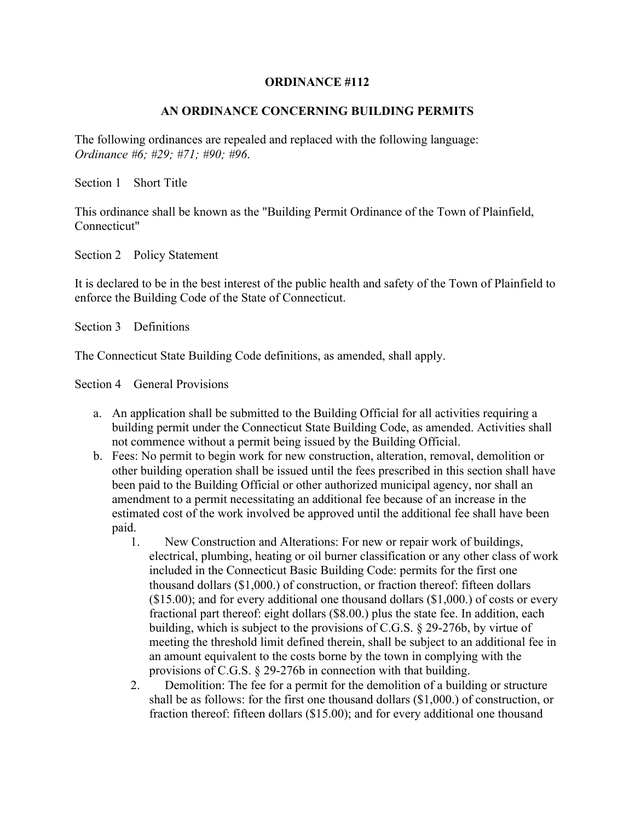## **ORDINANCE #112**

## **AN ORDINANCE CONCERNING BUILDING PERMITS**

The following ordinances are repealed and replaced with the following language: *Ordinance #6; #29; #71; #90; #96*.

Section 1 Short Title

This ordinance shall be known as the "Building Permit Ordinance of the Town of Plainfield, Connecticut"

Section 2 Policy Statement

It is declared to be in the best interest of the public health and safety of the Town of Plainfield to enforce the Building Code of the State of Connecticut.

Section 3 Definitions

The Connecticut State Building Code definitions, as amended, shall apply.

Section 4 General Provisions

- a. An application shall be submitted to the Building Official for all activities requiring a building permit under the Connecticut State Building Code, as amended. Activities shall not commence without a permit being issued by the Building Official.
- b. Fees: No permit to begin work for new construction, alteration, removal, demolition or other building operation shall be issued until the fees prescribed in this section shall have been paid to the Building Official or other authorized municipal agency, nor shall an amendment to a permit necessitating an additional fee because of an increase in the estimated cost of the work involved be approved until the additional fee shall have been paid.
	- 1. New Construction and Alterations: For new or repair work of buildings, electrical, plumbing, heating or oil burner classification or any other class of work included in the Connecticut Basic Building Code: permits for the first one thousand dollars (\$1,000.) of construction, or fraction thereof: fifteen dollars  $($15.00)$ ; and for every additional one thousand dollars  $($1,000)$  of costs or every fractional part thereof: eight dollars (\$8.00.) plus the state fee. In addition, each building, which is subject to the provisions of C.G.S. § 29-276b, by virtue of meeting the threshold limit defined therein, shall be subject to an additional fee in an amount equivalent to the costs borne by the town in complying with the provisions of C.G.S. § 29-276b in connection with that building.
	- 2. Demolition: The fee for a permit for the demolition of a building or structure shall be as follows: for the first one thousand dollars (\$1,000.) of construction, or fraction thereof: fifteen dollars (\$15.00); and for every additional one thousand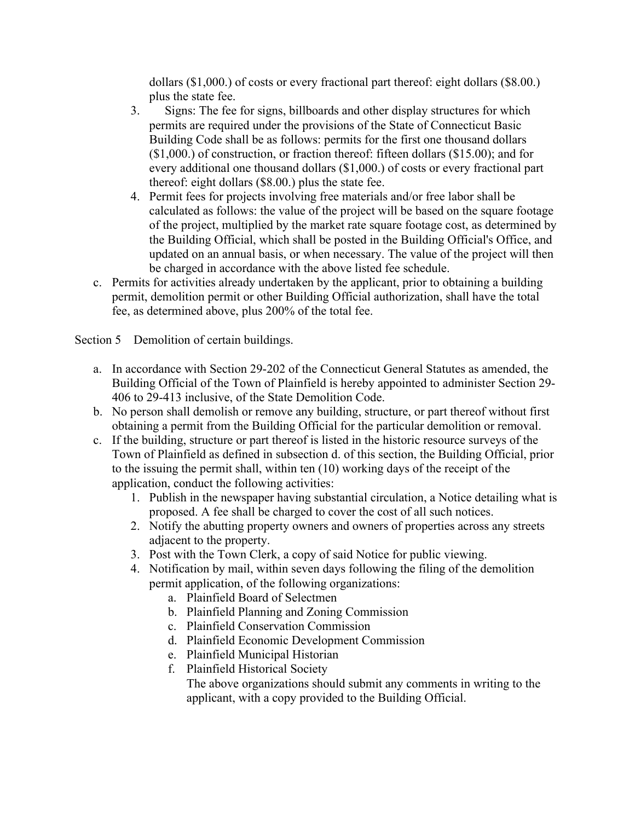dollars (\$1,000.) of costs or every fractional part thereof: eight dollars (\$8.00.) plus the state fee.

- 3. Signs: The fee for signs, billboards and other display structures for which permits are required under the provisions of the State of Connecticut Basic Building Code shall be as follows: permits for the first one thousand dollars (\$1,000.) of construction, or fraction thereof: fifteen dollars (\$15.00); and for every additional one thousand dollars (\$1,000.) of costs or every fractional part thereof: eight dollars (\$8.00.) plus the state fee.
- 4. Permit fees for projects involving free materials and/or free labor shall be calculated as follows: the value of the project will be based on the square footage of the project, multiplied by the market rate square footage cost, as determined by the Building Official, which shall be posted in the Building Official's Office, and updated on an annual basis, or when necessary. The value of the project will then be charged in accordance with the above listed fee schedule.
- c. Permits for activities already undertaken by the applicant, prior to obtaining a building permit, demolition permit or other Building Official authorization, shall have the total fee, as determined above, plus 200% of the total fee.

Section 5 Demolition of certain buildings.

- a. In accordance with Section 29-202 of the Connecticut General Statutes as amended, the Building Official of the Town of Plainfield is hereby appointed to administer Section 29- 406 to 29-413 inclusive, of the State Demolition Code.
- b. No person shall demolish or remove any building, structure, or part thereof without first obtaining a permit from the Building Official for the particular demolition or removal.
- c. If the building, structure or part thereof is listed in the historic resource surveys of the Town of Plainfield as defined in subsection d. of this section, the Building Official, prior to the issuing the permit shall, within ten (10) working days of the receipt of the application, conduct the following activities:
	- 1. Publish in the newspaper having substantial circulation, a Notice detailing what is proposed. A fee shall be charged to cover the cost of all such notices.
	- 2. Notify the abutting property owners and owners of properties across any streets adjacent to the property.
	- 3. Post with the Town Clerk, a copy of said Notice for public viewing.
	- 4. Notification by mail, within seven days following the filing of the demolition permit application, of the following organizations:
		- a. Plainfield Board of Selectmen
		- b. Plainfield Planning and Zoning Commission
		- c. Plainfield Conservation Commission
		- d. Plainfield Economic Development Commission
		- e. Plainfield Municipal Historian
		- f. Plainfield Historical Society
			- The above organizations should submit any comments in writing to the applicant, with a copy provided to the Building Official.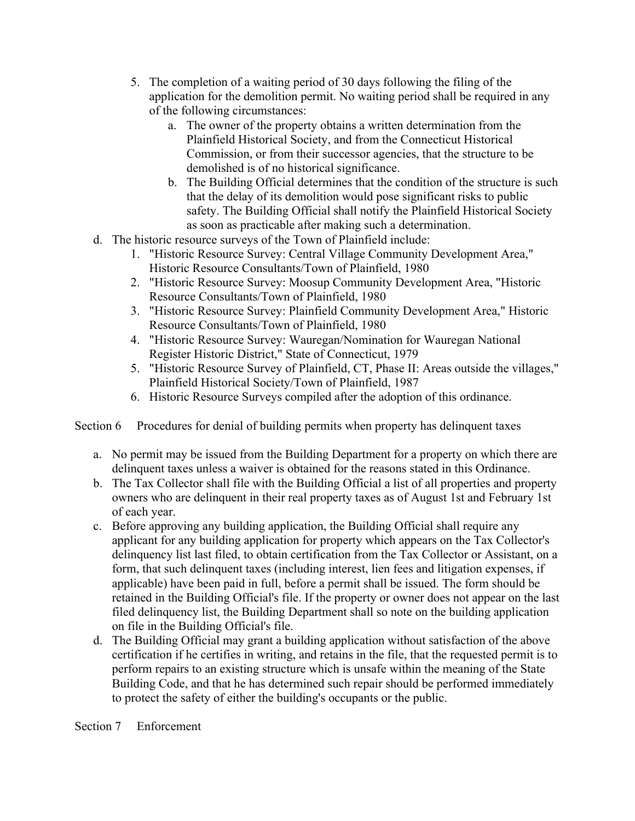- 5. The completion of a waiting period of 30 days following the filing of the application for the demolition permit. No waiting period shall be required in any of the following circumstances:
	- a. The owner of the property obtains a written determination from the Plainfield Historical Society, and from the Connecticut Historical Commission, or from their successor agencies, that the structure to be demolished is of no historical significance.
	- b. The Building Official determines that the condition of the structure is such that the delay of its demolition would pose significant risks to public safety. The Building Official shall notify the Plainfield Historical Society as soon as practicable after making such a determination.
- d. The historic resource surveys of the Town of Plainfield include:
	- 1. "Historic Resource Survey: Central Village Community Development Area," Historic Resource Consultants/Town of Plainfield, 1980
	- 2. "Historic Resource Survey: Moosup Community Development Area, "Historic Resource Consultants/Town of Plainfield, 1980
	- 3. "Historic Resource Survey: Plainfield Community Development Area," Historic Resource Consultants/Town of Plainfield, 1980
	- 4. "Historic Resource Survey: Wauregan/Nomination for Wauregan National Register Historic District," State of Connecticut, 1979
	- 5. "Historic Resource Survey of Plainfield, CT, Phase II: Areas outside the villages," Plainfield Historical Society/Town of Plainfield, 1987
	- 6. Historic Resource Surveys compiled after the adoption of this ordinance.

Section 6 Procedures for denial of building permits when property has delinquent taxes

- a. No permit may be issued from the Building Department for a property on which there are delinquent taxes unless a waiver is obtained for the reasons stated in this Ordinance.
- b. The Tax Collector shall file with the Building Official a list of all properties and property owners who are delinquent in their real property taxes as of August 1st and February 1st of each year.
- c. Before approving any building application, the Building Official shall require any applicant for any building application for property which appears on the Tax Collector's delinquency list last filed, to obtain certification from the Tax Collector or Assistant, on a form, that such delinquent taxes (including interest, lien fees and litigation expenses, if applicable) have been paid in full, before a permit shall be issued. The form should be retained in the Building Official's file. If the property or owner does not appear on the last filed delinquency list, the Building Department shall so note on the building application on file in the Building Official's file.
- d. The Building Official may grant a building application without satisfaction of the above certification if he certifies in writing, and retains in the file, that the requested permit is to perform repairs to an existing structure which is unsafe within the meaning of the State Building Code, and that he has determined such repair should be performed immediately to protect the safety of either the building's occupants or the public.

Section 7 Enforcement